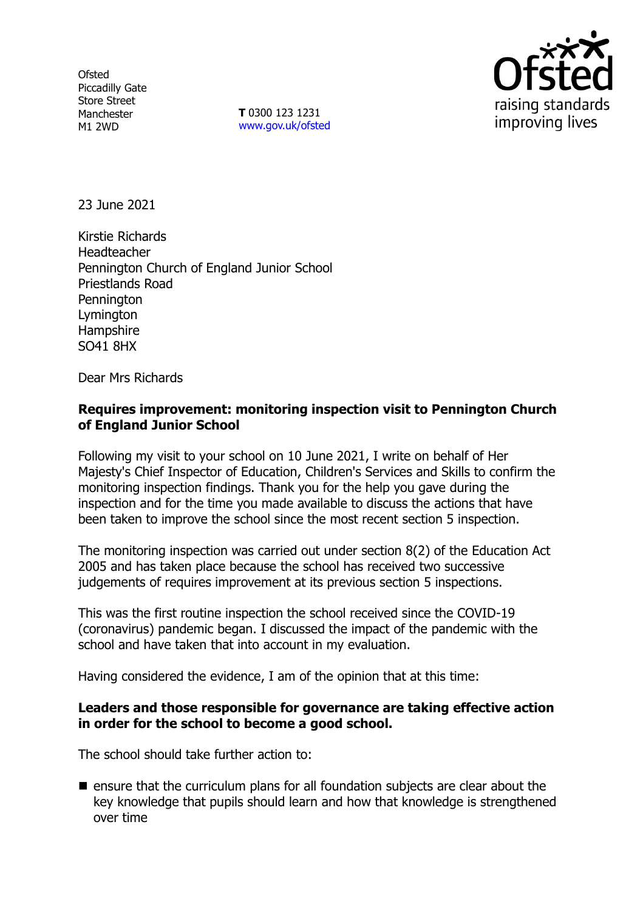**Ofsted** Piccadilly Gate Store Street Manchester M1 2WD

**T** 0300 123 1231 [www.gov.uk/ofsted](http://www.gov.uk/ofsted)



23 June 2021

Kirstie Richards Headteacher Pennington Church of England Junior School Priestlands Road **Pennington** Lymington **Hampshire** SO41 8HX

Dear Mrs Richards

## **Requires improvement: monitoring inspection visit to Pennington Church of England Junior School**

Following my visit to your school on 10 June 2021, I write on behalf of Her Majesty's Chief Inspector of Education, Children's Services and Skills to confirm the monitoring inspection findings. Thank you for the help you gave during the inspection and for the time you made available to discuss the actions that have been taken to improve the school since the most recent section 5 inspection.

The monitoring inspection was carried out under section 8(2) of the Education Act 2005 and has taken place because the school has received two successive judgements of requires improvement at its previous section 5 inspections.

This was the first routine inspection the school received since the COVID-19 (coronavirus) pandemic began. I discussed the impact of the pandemic with the school and have taken that into account in my evaluation.

Having considered the evidence, I am of the opinion that at this time:

#### **Leaders and those responsible for governance are taking effective action in order for the school to become a good school.**

The school should take further action to:

 $\blacksquare$  ensure that the curriculum plans for all foundation subjects are clear about the key knowledge that pupils should learn and how that knowledge is strengthened over time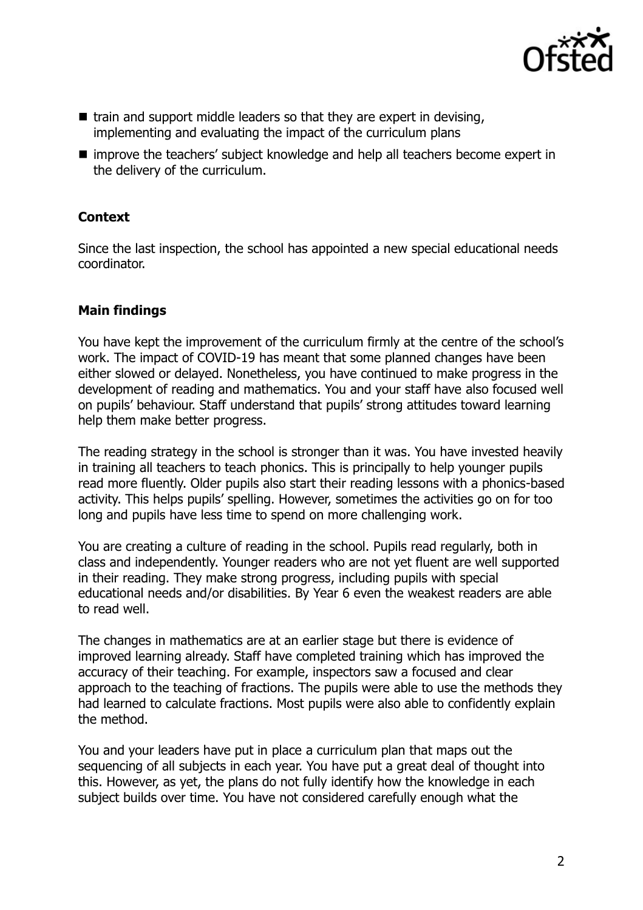

- $\blacksquare$  train and support middle leaders so that they are expert in devising, implementing and evaluating the impact of the curriculum plans
- improve the teachers' subject knowledge and help all teachers become expert in the delivery of the curriculum.

# **Context**

Since the last inspection, the school has appointed a new special educational needs coordinator.

## **Main findings**

You have kept the improvement of the curriculum firmly at the centre of the school's work. The impact of COVID-19 has meant that some planned changes have been either slowed or delayed. Nonetheless, you have continued to make progress in the development of reading and mathematics. You and your staff have also focused well on pupils' behaviour. Staff understand that pupils' strong attitudes toward learning help them make better progress.

The reading strategy in the school is stronger than it was. You have invested heavily in training all teachers to teach phonics. This is principally to help younger pupils read more fluently. Older pupils also start their reading lessons with a phonics-based activity. This helps pupils' spelling. However, sometimes the activities go on for too long and pupils have less time to spend on more challenging work.

You are creating a culture of reading in the school. Pupils read regularly, both in class and independently. Younger readers who are not yet fluent are well supported in their reading. They make strong progress, including pupils with special educational needs and/or disabilities. By Year 6 even the weakest readers are able to read well.

The changes in mathematics are at an earlier stage but there is evidence of improved learning already. Staff have completed training which has improved the accuracy of their teaching. For example, inspectors saw a focused and clear approach to the teaching of fractions. The pupils were able to use the methods they had learned to calculate fractions. Most pupils were also able to confidently explain the method.

You and your leaders have put in place a curriculum plan that maps out the sequencing of all subjects in each year. You have put a great deal of thought into this. However, as yet, the plans do not fully identify how the knowledge in each subject builds over time. You have not considered carefully enough what the